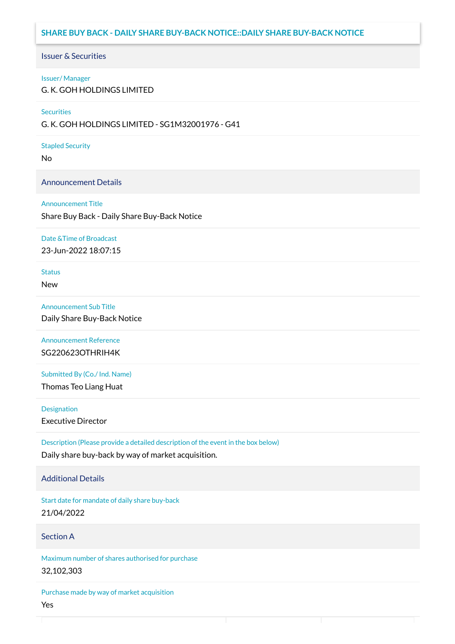## **SHARE BUY BACK - DAILY SHARE BUY-BACK NOTICE::DAILY SHARE BUY-BACK NOTICE**

### Issuer & Securities

### Issuer/ Manager

G. K. GOH HOLDINGS LIMITED

### **Securities**

G. K. GOH HOLDINGS LIMITED - SG1M32001976 - G41

### Stapled Security

No

## Announcement Details

### Announcement Title

Share Buy Back - Daily Share Buy-Back Notice

### Date &Time of Broadcast

23-Jun-2022 18:07:15

# **Status**

New

## Announcement Sub Title

Daily Share Buy-Back Notice

## Announcement Reference SG220623OTHRIH4K

Submitted By (Co./ Ind. Name)

Thomas Teo Liang Huat

**Designation** 

Executive Director

Description (Please provide a detailed description of the event in the box below) Daily share buy-back by way of market acquisition.

## Additional Details

Start date for mandate of daily share buy-back 21/04/2022

## Section A

Maximum number of shares authorised for purchase 32,102,303

Purchase made by way of market acquisition Yes